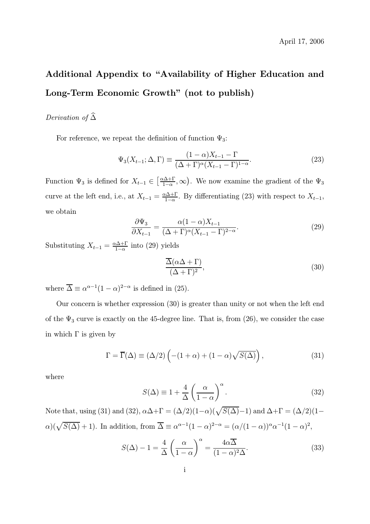## Additional Appendix to "Availability of Higher Education and Long-Term Economic Growth" (not to publish)

## Derivation of  $\widehat{\Delta}$

For reference, we repeat the definition of function  $\Psi_3$ :

$$
\Psi_3(X_{t-1}; \Delta, \Gamma) \equiv \frac{(1-\alpha)X_{t-1} - \Gamma}{(\Delta + \Gamma)^{\alpha}(X_{t-1} - \Gamma)^{1-\alpha}}.
$$
\n(23)

Function  $\Psi_3$  is defined for  $X_{t-1} \in \left[\frac{\alpha \Delta + \Gamma}{1 - \alpha}, \infty\right)$ . We now examine the gradient of the  $\Psi_3$ curve at the left end, i.e., at  $X_{t-1} = \frac{\alpha \Delta + \Gamma}{1 - \alpha}$ . By differentiating (23) with respect to  $X_{t-1}$ , we obtain

$$
\frac{\partial \Psi_3}{\partial X_{t-1}} = \frac{\alpha (1-\alpha) X_{t-1}}{(\Delta + \Gamma)^{\alpha} (X_{t-1} - \Gamma)^{2-\alpha}}.
$$
\n(29)

Substituting  $X_{t-1} = \frac{\alpha \Delta + \Gamma}{1 - \alpha}$  into (29) yields

$$
\frac{\overline{\Delta}(\alpha \Delta + \Gamma)}{(\Delta + \Gamma)^2},\tag{30}
$$

where  $\overline{\Delta} \equiv \alpha^{\alpha-1}(1-\alpha)^{2-\alpha}$  is defined in (25).

Our concern is whether expression (30) is greater than unity or not when the left end of the  $\Psi_3$  curve is exactly on the 45-degree line. That is, from (26), we consider the case in which  $\Gamma$  is given by

$$
\Gamma = \overline{\Gamma}(\Delta) \equiv (\Delta/2) \left( -(1+\alpha) + (1-\alpha) \sqrt{S(\Delta)} \right), \tag{31}
$$

where

$$
S(\Delta) \equiv 1 + \frac{4}{\Delta} \left( \frac{\alpha}{1 - \alpha} \right)^{\alpha}.
$$
 (32)

Note that, using (31) and (32),  $\alpha\Delta+\Gamma=(\Delta/2)(1-\alpha)(\sqrt{S(\Delta)}-1)$  and  $\Delta+\Gamma=(\Delta/2)(1-\alpha)$  $\alpha$ )( $\sqrt{S(\Delta)} + 1$ ). In addition, from  $\overline{\Delta} \equiv \alpha^{\alpha-1}(1 - \alpha)^{2-\alpha} = (\alpha/(1 - \alpha))^{\alpha} \alpha^{-1}(1 - \alpha)^2$ ,

$$
S(\Delta) - 1 = \frac{4}{\Delta} \left( \frac{\alpha}{1 - \alpha} \right)^{\alpha} = \frac{4\alpha \overline{\Delta}}{(1 - \alpha)^2 \Delta}.
$$
 (33)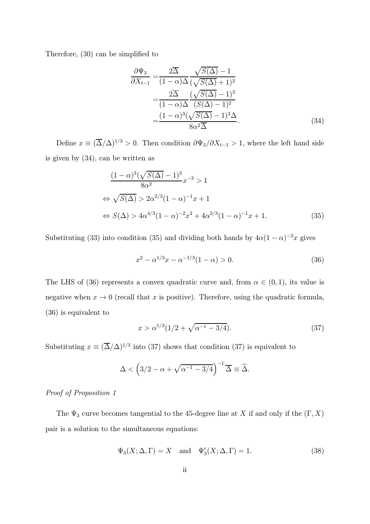Therefore, (30) can be simplified to

$$
\frac{\partial \Psi_3}{\partial X_{t-1}} = \frac{2\overline{\Delta}}{(1-\alpha)\Delta} \frac{\sqrt{S(\Delta)} - 1}{(\sqrt{S(\Delta)} + 1)^2}
$$

$$
= \frac{2\overline{\Delta}}{(1-\alpha)\Delta} \frac{(\sqrt{S(\Delta)} - 1)^3}{(S(\Delta) - 1)^2}
$$

$$
= \frac{(1-\alpha)^3(\sqrt{S(\Delta)} - 1)^3\Delta}{8\alpha^2\overline{\Delta}}.
$$
(34)

Define  $x \equiv (\overline{\Delta}/\Delta)^{1/3} > 0$ . Then condition  $\partial \Psi_3 / \partial X_{t-1} > 1$ , where the left hand side is given by (34), can be written as

$$
\frac{(1-\alpha)^3(\sqrt{S(\Delta)}-1)^3}{8\alpha^2}x^{-3} > 1
$$
  
\n
$$
\Leftrightarrow \sqrt{S(\Delta)} > 2\alpha^{2/3}(1-\alpha)^{-1}x + 1
$$
  
\n
$$
\Leftrightarrow S(\Delta) > 4\alpha^{4/3}(1-\alpha)^{-2}x^2 + 4\alpha^{2/3}(1-\alpha)^{-1}x + 1.
$$
\n(35)

Substituting (33) into condition (35) and dividing both hands by  $4\alpha(1-\alpha)^{-2}x$  gives

$$
x^2 - \alpha^{1/3}x - \alpha^{-1/3}(1 - \alpha) > 0.
$$
 (36)

The LHS of (36) represents a convex quadratic curve and, from  $\alpha \in (0,1)$ , its value is negative when  $x \to 0$  (recall that x is positive). Therefore, using the quadratic formula, (36) is equivalent to

$$
x > \alpha^{1/3} (1/2 + \sqrt{\alpha^{-1} - 3/4}). \tag{37}
$$

Substituting  $x \equiv (\overline{\Delta}/\Delta)^{1/3}$  into (37) shows that condition (37) is equivalent to

$$
\Delta < \left(3/2 - \alpha + \sqrt{\alpha^{-1} - 3/4}\right)^{-1} \overline{\Delta} \equiv \widehat{\Delta}.
$$

Proof of Proposition 1

The  $\Psi_3$  curve becomes tangential to the 45-degree line at X if and only if the  $(\Gamma, X)$ pair is a solution to the simultaneous equations:

$$
\Psi_3(X; \Delta, \Gamma) = X \quad \text{and} \quad \Psi'_3(X; \Delta, \Gamma) = 1. \tag{38}
$$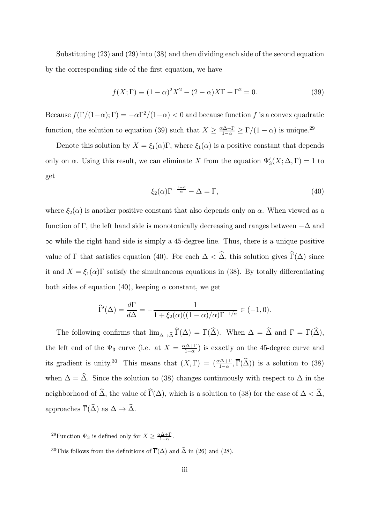Substituting (23) and (29) into (38) and then dividing each side of the second equation by the corresponding side of the first equation, we have

$$
f(X; \Gamma) \equiv (1 - \alpha)^2 X^2 - (2 - \alpha) X \Gamma + \Gamma^2 = 0.
$$
 (39)

Because  $f(\Gamma/(1-\alpha); \Gamma) = -\alpha \Gamma^2/(1-\alpha) < 0$  and because function f is a convex quadratic function, the solution to equation (39) such that  $X \ge \frac{\alpha \Delta + \Gamma}{1 - \alpha} \ge \Gamma/(1 - \alpha)$  is unique.<sup>29</sup>

Denote this solution by  $X = \xi_1(\alpha)\Gamma$ , where  $\xi_1(\alpha)$  is a positive constant that depends only on  $\alpha$ . Using this result, we can eliminate X from the equation  $\Psi'_{3}(X;\Delta,\Gamma) = 1$  to get

$$
\xi_2(\alpha)\Gamma^{-\frac{1-\alpha}{\alpha}} - \Delta = \Gamma,\tag{40}
$$

where  $\xi_2(\alpha)$  is another positive constant that also depends only on  $\alpha$ . When viewed as a function of Γ, the left hand side is monotonically decreasing and ranges between  $-\Delta$  and  $\infty$  while the right hand side is simply a 45-degree line. Thus, there is a unique positive value of  $\Gamma$  that satisfies equation (40). For each  $\Delta < \widehat{\Delta}$ , this solution gives  $\widehat{\Gamma}(\Delta)$  since it and  $X = \xi_1(\alpha)\Gamma$  satisfy the simultaneous equations in (38). By totally differentiating both sides of equation (40), keeping  $\alpha$  constant, we get

$$
\widehat{\Gamma}'(\Delta) = \frac{d\Gamma}{d\Delta} = -\frac{1}{1 + \xi_2(\alpha)((1 - \alpha)/\alpha)\Gamma^{-1/\alpha}} \in (-1, 0).
$$

The following confirms that  $\lim_{\Delta\to\hat{\Delta}} \widehat{\Gamma}(\Delta) = \overline{\Gamma}(\widehat{\Delta})$ . When  $\Delta = \widehat{\Delta}$  and  $\Gamma = \overline{\Gamma}(\widehat{\Delta})$ , the left end of the  $\Psi_3$  curve (i.e. at  $X = \frac{\alpha \Delta + \Gamma}{1 - \alpha}$ ) is exactly on the 45-degree curve and its gradient is unity.<sup>30</sup> This means that  $(X, \Gamma) = (\frac{\alpha \Delta + \Gamma}{1 - \alpha}, \overline{\Gamma}(\widehat{\Delta}))$  is a solution to (38) when  $\Delta = \hat{\Delta}$ . Since the solution to (38) changes continuously with respect to  $\Delta$  in the neighborhood of  $\widehat{\Delta}$ , the value of  $\widehat{\Gamma}(\Delta)$ , which is a solution to (38) for the case of  $\Delta < \widehat{\Delta}$ , approaches  $\overline{\Gamma}(\widehat{\Delta})$  as  $\Delta \to \widehat{\Delta}$ .

<sup>&</sup>lt;sup>29</sup>Function  $\Psi_3$  is defined only for  $X \geq \frac{\alpha \Delta + \Gamma}{1 - \alpha}$ .

<sup>&</sup>lt;sup>30</sup>This follows from the definitions of  $\overline{\Gamma}(\Delta)$  and  $\hat{\Delta}$  in (26) and (28).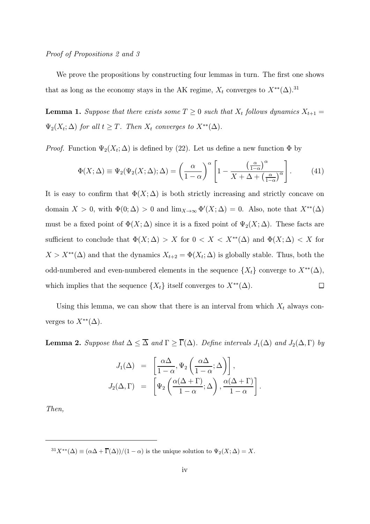## Proof of Propositions 2 and 3

We prove the propositions by constructing four lemmas in turn. The first one shows that as long as the economy stays in the AK regime,  $X_t$  converges to  $X^{**}(\Delta).^{31}$ 

**Lemma 1.** Suppose that there exists some  $T \geq 0$  such that  $X_t$  follows dynamics  $X_{t+1} =$  $\Psi_2(X_t; \Delta)$  for all  $t \geq T$ . Then  $X_t$  converges to  $X^{**}(\Delta)$ .

*Proof.* Function  $\Psi_2(X_t; \Delta)$  is defined by (22). Let us define a new function  $\Phi$  by

$$
\Phi(X;\Delta) \equiv \Psi_2(\Psi_2(X;\Delta); \Delta) = \left(\frac{\alpha}{1-\alpha}\right)^{\alpha} \left[1 - \frac{\left(\frac{\alpha}{1-\alpha}\right)^{\alpha}}{X + \Delta + \left(\frac{\alpha}{1-\alpha}\right)^{\alpha}}\right].
$$
 (41)

It is easy to confirm that  $\Phi(X;\Delta)$  is both strictly increasing and strictly concave on domain  $X > 0$ , with  $\Phi(0; \Delta) > 0$  and  $\lim_{X \to \infty} \Phi'(X; \Delta) = 0$ . Also, note that  $X^{**}(\Delta)$ must be a fixed point of  $\Phi(X;\Delta)$  since it is a fixed point of  $\Psi_2(X;\Delta)$ . These facts are sufficient to conclude that  $\Phi(X; \Delta) > X$  for  $0 < X < X^{**}(\Delta)$  and  $\Phi(X; \Delta) < X$  for  $X>X^{**}(\Delta)$  and that the dynamics  $X_{t+2} = \Phi(X_t; \Delta)$  is globally stable. Thus, both the odd-numbered and even-numbered elements in the sequence  $\{X_t\}$  converge to  $X^{**}(\Delta)$ , which implies that the sequence  $\{X_t\}$  itself converges to  $X^{**}(\Delta)$ .  $\Box$ 

Using this lemma, we can show that there is an interval from which  $X_t$  always converges to  $X^{**}(\Delta)$ .

**Lemma 2.** Suppose that  $\Delta \leq \overline{\Delta}$  and  $\Gamma \geq \overline{\Gamma}(\Delta)$ . Define intervals  $J_1(\Delta)$  and  $J_2(\Delta, \Gamma)$  by

$$
J_1(\Delta) = \left[ \frac{\alpha \Delta}{1 - \alpha}, \Psi_2 \left( \frac{\alpha \Delta}{1 - \alpha}; \Delta \right) \right],
$$
  

$$
J_2(\Delta, \Gamma) = \left[ \Psi_2 \left( \frac{\alpha (\Delta + \Gamma)}{1 - \alpha}; \Delta \right), \frac{\alpha (\Delta + \Gamma)}{1 - \alpha} \right].
$$

Then,

 ${}^{31}X^{**}(\Delta) \equiv (\alpha \Delta + \overline{\Gamma}(\Delta))/(1 - \alpha)$  is the unique solution to  $\Psi_2(X; \Delta) = X$ .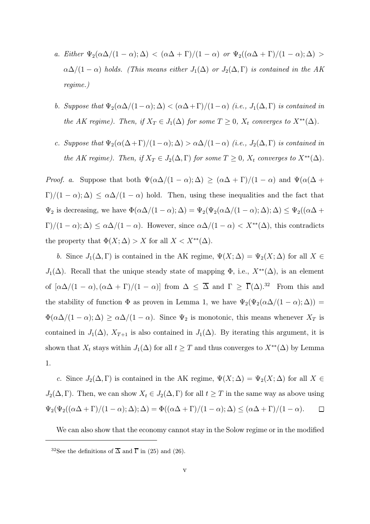- a. Either  $\Psi_2(\alpha\Delta/(1-\alpha);\Delta) < (\alpha\Delta+\Gamma)/(1-\alpha)$  or  $\Psi_2((\alpha\Delta+\Gamma)/(1-\alpha);\Delta) >$  $\alpha\Delta/(1-\alpha)$  holds. (This means either  $J_1(\Delta)$  or  $J_2(\Delta,\Gamma)$  is contained in the AK regime.)
- b. Suppose that  $\Psi_2(\alpha\Delta/(1-\alpha);\Delta) < (\alpha\Delta+\Gamma)/(1-\alpha)$  (i.e.,  $J_1(\Delta,\Gamma)$  is contained in the AK regime). Then, if  $X_T \in J_1(\Delta)$  for some  $T \geq 0$ ,  $X_t$  converges to  $X^{**}(\Delta)$ .
- c. Suppose that  $\Psi_2(\alpha(\Delta + \Gamma)/(1-\alpha); \Delta) > \alpha\Delta/(1-\alpha)$  (i.e.,  $J_2(\Delta, \Gamma)$  is contained in the AK regime). Then, if  $X_T \in J_2(\Delta, \Gamma)$  for some  $T \geq 0$ ,  $X_t$  converges to  $X^{**}(\Delta)$ .

*Proof. a.* Suppose that both  $\Psi(\alpha\Delta/(1-\alpha);\Delta) \geq (\alpha\Delta + \Gamma)/(1-\alpha)$  and  $\Psi(\alpha(\Delta +$  $\Gamma/(1-\alpha);\Delta) \leq \alpha\Delta/(1-\alpha)$  hold. Then, using these inequalities and the fact that  $\Psi_2$  is decreasing, we have  $\Phi(\alpha\Delta/(1-\alpha);\Delta) = \Psi_2(\Psi_2(\alpha\Delta/(1-\alpha);\Delta);\Delta) \leq \Psi_2((\alpha\Delta +$  $\Gamma$ /(1 –  $\alpha$ );  $\Delta$ )  $\leq \alpha \Delta/(1-\alpha)$ . However, since  $\alpha \Delta/(1-\alpha) < X^{**}(\Delta)$ , this contradicts the property that  $\Phi(X; \Delta) > X$  for all  $X < X^{**}(\Delta)$ .

b. Since  $J_1(\Delta,\Gamma)$  is contained in the AK regime,  $\Psi(X;\Delta) = \Psi_2(X;\Delta)$  for all  $X \in$  $J_1(\Delta)$ . Recall that the unique steady state of mapping  $\Phi$ , i.e.,  $X^{**}(\Delta)$ , is an element of  $[\alpha\Delta/(1-\alpha),(\alpha\Delta+\Gamma)/(1-\alpha)]$  from  $\Delta \leq \overline{\Delta}$  and  $\Gamma \geq \overline{\Gamma}(\Delta).^{32}$  From this and the stability of function  $\Phi$  as proven in Lemma 1, we have  $\Psi_2(\Psi_2(\alpha\Delta/(1-\alpha);\Delta))$  =  $\Phi(\alpha\Delta/(1-\alpha);\Delta) \geq \alpha\Delta/(1-\alpha)$ . Since  $\Psi_2$  is monotonic, this means whenever  $X_T$  is contained in  $J_1(\Delta)$ ,  $X_{T+1}$  is also contained in  $J_1(\Delta)$ . By iterating this argument, it is shown that  $X_t$  stays within  $J_1(\Delta)$  for all  $t \geq T$  and thus converges to  $X^{**}(\Delta)$  by Lemma 1.

c. Since  $J_2(\Delta,\Gamma)$  is contained in the AK regime,  $\Psi(X;\Delta) = \Psi_2(X;\Delta)$  for all  $X \in$  $J_2(\Delta,\Gamma)$ . Then, we can show  $X_t \in J_2(\Delta,\Gamma)$  for all  $t \geq T$  in the same way as above using  $\Psi_2(\Psi_2((\alpha \Delta + \Gamma)/(1-\alpha); \Delta); \Delta) = \Phi((\alpha \Delta + \Gamma)/(1-\alpha); \Delta) \leq (\alpha \Delta + \Gamma)/(1-\alpha).$  $\Box$ 

We can also show that the economy cannot stay in the Solow regime or in the modified

<sup>&</sup>lt;sup>32</sup>See the definitions of  $\overline{\Delta}$  and  $\overline{\Gamma}$  in (25) and (26).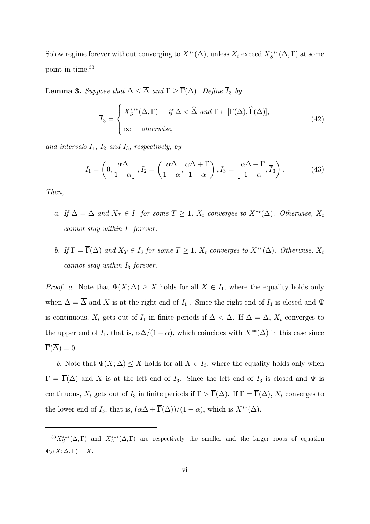Solow regime forever without converging to  $X^{**}(\Delta)$ , unless  $X_t$  exceed  $X^{***}_{S}(\Delta,\Gamma)$  at some point in time.<sup>33</sup>

**Lemma 3.** Suppose that  $\Delta \leq \overline{\Delta}$  and  $\Gamma \geq \overline{\Gamma}(\Delta)$ . Define  $\overline{I}_3$  by

$$
\overline{I}_3 = \begin{cases} X_s^{***}(\Delta, \Gamma) & \text{if } \Delta < \widehat{\Delta} \text{ and } \Gamma \in [\overline{\Gamma}(\Delta), \widehat{\Gamma}(\Delta)], \\ \infty & \text{otherwise,} \end{cases}
$$
(42)

and intervals  $I_1$ ,  $I_2$  and  $I_3$ , respectively, by

$$
I_1 = \left(0, \frac{\alpha \Delta}{1 - \alpha}\right), I_2 = \left(\frac{\alpha \Delta}{1 - \alpha}, \frac{\alpha \Delta + \Gamma}{1 - \alpha}\right), I_3 = \left[\frac{\alpha \Delta + \Gamma}{1 - \alpha}, \overline{I}_3\right). \tag{43}
$$

Then,

- a. If  $\Delta = \overline{\Delta}$  and  $X_T \in I_1$  for some  $T \geq 1$ ,  $X_t$  converges to  $X^{**}(\Delta)$ . Otherwise,  $X_t$ cannot stay within  $I_1$  forever.
- b. If  $\Gamma = \overline{\Gamma}(\Delta)$  and  $X_T \in I_3$  for some  $T \geq 1$ ,  $X_t$  converges to  $X^{**}(\Delta)$ . Otherwise,  $X_t$ cannot stay within  $I_3$  forever.

*Proof.* a. Note that  $\Psi(X; \Delta) \geq X$  holds for all  $X \in I_1$ , where the equality holds only when  $\Delta = \overline{\Delta}$  and X is at the right end of  $I_1$ . Since the right end of  $I_1$  is closed and  $\Psi$ is continuous,  $X_t$  gets out of  $I_1$  in finite periods if  $\Delta < \overline{\Delta}$ . If  $\Delta = \overline{\Delta}$ ,  $X_t$  converges to the upper end of  $I_1$ , that is,  $\alpha\overline{\Delta}/(1-\alpha)$ , which coincides with  $X^{**}(\Delta)$  in this case since  $\overline{\Gamma}(\overline{\Delta})=0.$ 

b. Note that  $\Psi(X; \Delta) \leq X$  holds for all  $X \in I_3$ , where the equality holds only when  $\Gamma = \overline{\Gamma}(\Delta)$  and X is at the left end of  $I_3$ . Since the left end of  $I_3$  is closed and  $\Psi$  is continuous,  $X_t$  gets out of  $I_3$  in finite periods if  $\Gamma > \overline{\Gamma}(\Delta)$ . If  $\Gamma = \overline{\Gamma}(\Delta)$ ,  $X_t$  converges to the lower end of  $I_3$ , that is,  $(\alpha \Delta + \overline{\Gamma}(\Delta))/(1 - \alpha)$ , which is  $X^{**}(\Delta)$ .  $\Box$ 

 ${}^{33}X_5^{***}(\Delta,\Gamma)$  and  $X_L^{***}(\Delta,\Gamma)$  are respectively the smaller and the larger roots of equation  $\Psi_3(X;\Delta,\Gamma)=X.$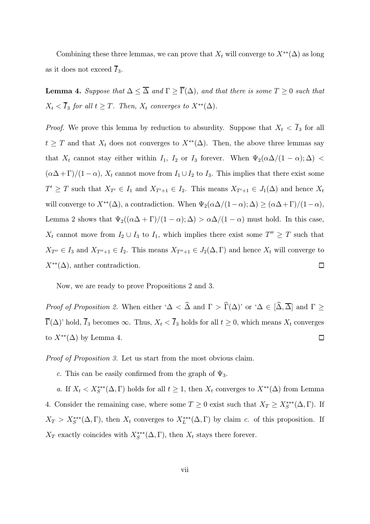Combining these three lemmas, we can prove that  $X_t$  will converge to  $X^{**}(\Delta)$  as long as it does not exceed  $\overline{I}_3$ .

**Lemma 4.** Suppose that  $\Delta \leq \overline{\Delta}$  and  $\Gamma \geq \overline{\Gamma}(\Delta)$ , and that there is some  $T \geq 0$  such that  $X_t < \overline{I}_3$  for all  $t \geq T$ . Then,  $X_t$  converges to  $X^{**}(\Delta)$ .

*Proof.* We prove this lemma by reduction to absurdity. Suppose that  $X_t < \overline{I}_3$  for all  $t \geq T$  and that  $X_t$  does not converges to  $X^{**}(\Delta)$ . Then, the above three lemmas say that  $X_t$  cannot stay either within  $I_1$ ,  $I_2$  or  $I_3$  forever. When  $\Psi_2(\alpha\Delta/(1-\alpha);\Delta)$  <  $(\alpha \Delta + \Gamma)/(1 - \alpha)$ ,  $X_t$  cannot move from  $I_1 \cup I_2$  to  $I_3$ . This implies that there exist some  $T' \geq T$  such that  $X_{T'} \in I_1$  and  $X_{T'+1} \in I_2$ . This means  $X_{T'+1} \in J_1(\Delta)$  and hence  $X_t$ will converge to  $X^{**}(\Delta)$ , a contradiction. When  $\Psi_2(\alpha\Delta/(1-\alpha);\Delta) \geq (\alpha\Delta+\Gamma)/(1-\alpha)$ , Lemma 2 shows that  $\Psi_2((\alpha\Delta + \Gamma)/(1-\alpha); \Delta) > \alpha\Delta/(1-\alpha)$  must hold. In this case,  $X_t$  cannot move from  $I_2 \cup I_3$  to  $I_1$ , which implies there exist some  $T'' \geq T$  such that  $X_{T''} \in I_3$  and  $X_{T''+1} \in I_2$ . This means  $X_{T''+1} \in J_2(\Delta, \Gamma)$  and hence  $X_t$  will converge to  $X^{**}(\Delta)$ , anther contradiction.  $\Box$ 

Now, we are ready to prove Propositions 2 and 3.

Proof of Proposition 2. When either ' $\Delta < \hat{\Delta}$  and  $\Gamma > \hat{\Gamma}(\Delta)$ ' or ' $\Delta \in [\hat{\Delta}, \overline{\Delta}]$  and  $\Gamma \geq$  $\overline{\Gamma}(\Delta)$ ' hold,  $\overline{I}_3$  becomes  $\infty$ . Thus,  $X_t < \overline{I}_3$  holds for all  $t \geq 0$ , which means  $X_t$  converges to  $X^{**}(\Delta)$  by Lemma 4.  $\Box$ 

Proof of Proposition 3. Let us start from the most obvious claim.

c. This can be easily confirmed from the graph of  $\Psi_3$ .

a. If  $X_t < X_s^{***}(\Delta, \Gamma)$  holds for all  $t \geq 1$ , then  $X_t$  converges to  $X^{**}(\Delta)$  from Lemma 4. Consider the remaining case, where some  $T \geq 0$  exist such that  $X_T \geq X_S^{***}(\Delta,\Gamma)$ . If  $X_T > X_S^{***}(\Delta,\Gamma)$ , then  $X_t$  converges to  $X_L^{***}(\Delta,\Gamma)$  by claim c. of this proposition. If  $X_T$  exactly coincides with  $X_S^{***}(\Delta,\Gamma)$ , then  $X_t$  stays there forever.